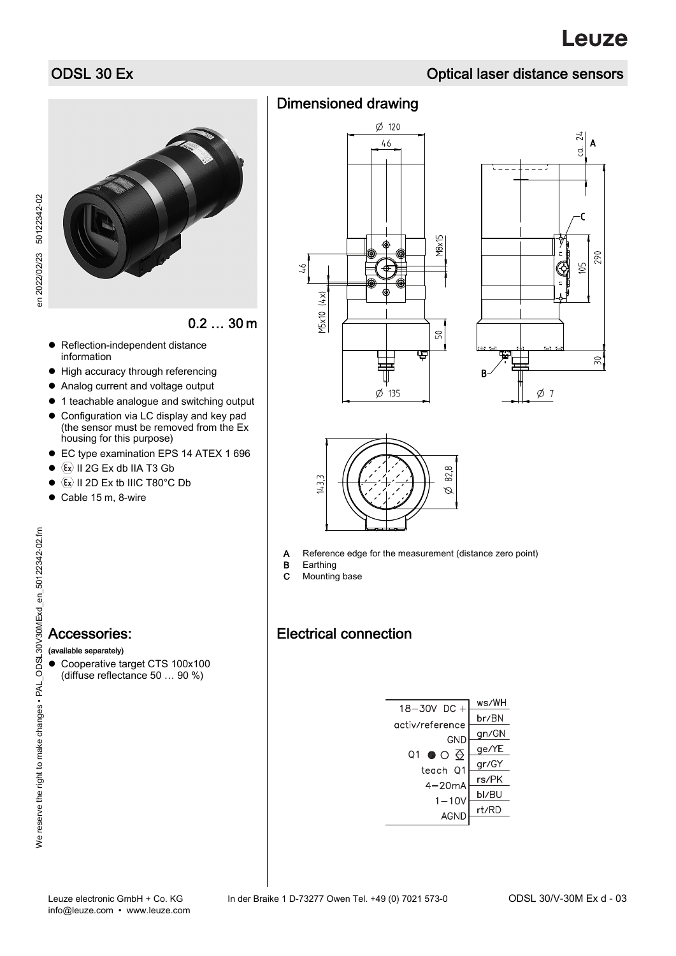# ODSL 30 Ex CONSUMER CONSUMER CONSUMING THE CONSUMER CONSUMER CONSUMER CONSUMER CONSUMER CONSUMER CONSUMER CONSUMER CONSUMER CONSUMER CONSUMER CONSUMER CONSUMER CONSUMER CONSUMER CONSUMER CONSUMER CONSUMER CONSUMER CONSUMER



0.2 … 30 m

- Reflection-independent distance information
- High accuracy through referencing
- Analog current and voltage output
- 1 teachable analogue and switching output
- Configuration via LC display and key pad (the sensor must be removed from the Ex housing for this purpose)
- EC type examination EPS 14 ATEX 1 696
- $\bullet$   $\langle \overline{\epsilon_x} \rangle$  II 2G Ex db IIA T3 Gb
- $\bullet \ \langle \overline{\epsilon_x} \rangle$  II 2D Ex tb IIIC T80°C Db
- $\bullet$  Cable 15 m, 8-wire

- (available separately)
- Cooperative target CTS 100x100 (diffuse reflectance 50 … 90 %)

| <b>Dimensioned drawing</b> |
|----------------------------|
|                            |







 $\phi$  135

A Reference edge for the measurement (distance zero point)<br>B Earthing

- Earthing
- C Mounting base

# Electrical connection

| 18-30V DC +               | ws/WH |
|---------------------------|-------|
|                           | br/BN |
| activ/reference           | gn/GN |
| GND                       | ge/YE |
| $\bullet \circ \in$<br>Ο1 | gr/GY |
| teach 01                  | rs/PK |
| $4 - 20$ mA               | bl/BU |
| $1 - 10V$                 | rt/RD |
| AGND                      |       |

en 2022/02/23 50122342-02

en 2022/02/23 50122342-02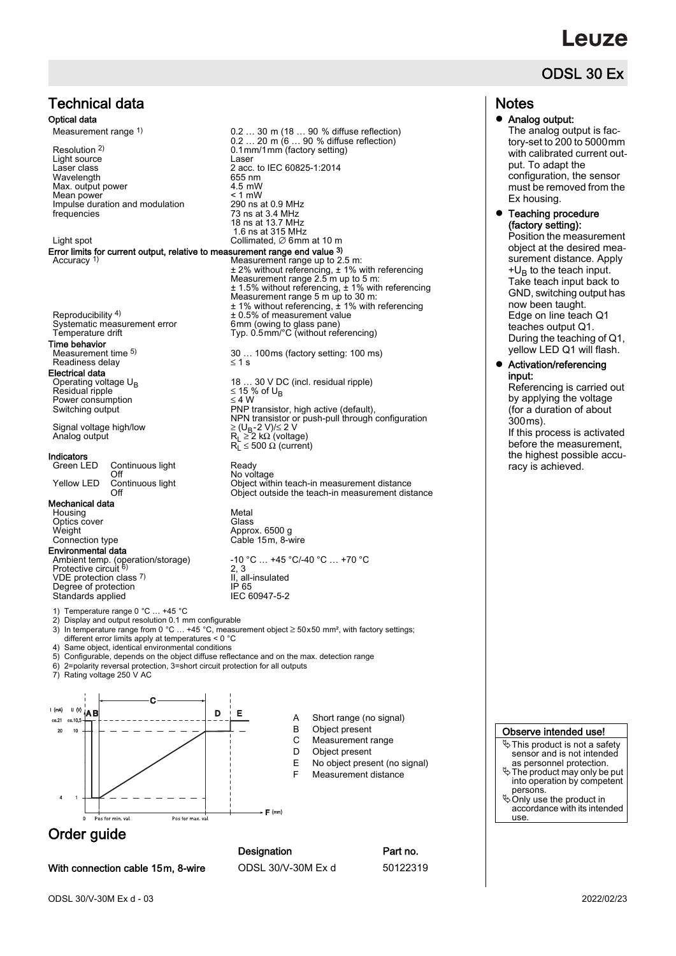# euze

# ODSL 30 Ex

# Technical data

### Optical data

Measurement range 1)

Resolution 2) Light source Laser<br>
Laser class 2 acc Wavelength 655 nm<br>
Max. output power 655 nm<br>
Mean nower 61 nm Max. output power Mean power Impulse duration and modulation frequencies

Error limits for current output, relative to measurement range end value  $3$ )<br>Accuracy <sup>1)</sup> Measurement range up to 2

Reproducibility 4) Systematic measurement error<br>Temperature drift Time behavior

Measurement time 5) Readiness delay

**Electrical data**<br>Operating voltage  $U_{\rm B}$  $Residual triple   
\nBox will triple   
\nPower consumption   
\n $\leq 4 \text{ W}$$ Power consumption<br>Switching output

Signal voltage high/low<br>Analog output

# **Indicators**<br>Green LED

Continuous light Ready<br>
Off No vol Off No voltage<br>
Continuous light Continuous Dight Continuous No voltage

#### Mechanical data

Housing Metal<br>Optics cover Class Optics cover<br>Weight Connection type

Environmental data

VDE protection class 7) Degree of protection IP 65<br>Standards applied IEC 60947-5-2 Standards applied

Temperature range 0 °C ... +45 °C

- 
- 2) Display and output resolution 0.1 mm configurable 3) In temperature range from 0 °C … +45 °C, measurement object ≥ 50x50 mm², with factory settings;
- 

different error limits apply at temperatures < 0 °C 4) Same object, identical environmental conditions

- 5) Configurable, depends on the object diffuse reflectance and on the max. detection range
- 6) 2=polarity reversal protection, 3=short circuit protection for all outputs<br>
6) 2=polarity reversal protection, 3=short circuit protection for all outputs<br>
7) Rating voltage 250 V AC

Rating voltage 250 V AC





18 ... 30 V DC (incl. residual ripple)  $\leq$  15 % of U<sub>B</sub> Switching output PNP transistor, high active (default), NPN transistor or push-pull through configuration Analog output RL ≥ 2 kΩ (voltage) RL ≤ 500 Ω (current)

Yellow LED Continuous light Object within teach-in measurement distance<br>Object outside the teach-in measurement dist Object outside the teach-in measurement distance

Approx. 6500 g<br>Cable 15m. 8-wire

Ambient temp. (operation/storage) -10 °C … +45 °C/-40 °C … +70 °C<br>Protective circuit <sup>6)</sup> 2, 3 2, 3 II, all-insulated<br>IP 65

- A Short range (no signal)
- B Object present<br>C Measurement r
- Measurement range
- D Object present
- E No object present (no signal) F Measurement distance

Order guide

With connection cable 15m, 8-wire ODSL 30/V-30M Ex d 50122319

Designation **Part no.** 

 $F(mm)$ 

## **Notes**

Analog output:

The analog output is factory-set to 200 to 5000mm with calibrated current output. To adapt the configuration, the sensor must be removed from the Ex housing.

### Teaching procedure (factory setting):

Position the measurement object at the desired measurement distance. Apply  $+U_B$  to the teach input. Take teach input back to GND, switching output has now been taught. Edge on line teach Q1 teaches output Q1. During the teaching of Q1, yellow LED Q1 will flash.

### Activation/referencing input:

Referencing is carried out by applying the voltage (for a duration of about 300ms). If this process is activated before the measurement,

the highest possible accuracy is achieved.

#### Observe intended use!

 $\%$  This product is not a safety sensor and is not intended

- as personnel protection. The product may only be put into operation by competent persons.
- Only use the product in accordance with its intended use.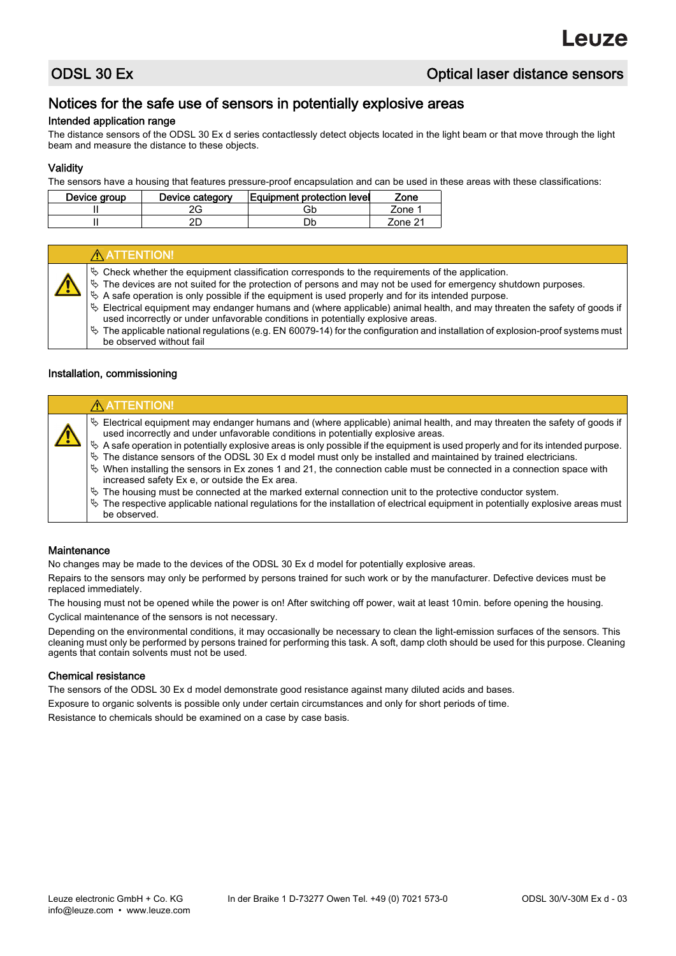# Notices for the safe use of sensors in potentially explosive areas

## Intended application range

The distance sensors of the ODSL 30 Ex d series contactlessly detect objects located in the light beam or that move through the light beam and measure the distance to these objects.

## Validity

The sensors have a housing that features pressure-proof encapsulation and can be used in these areas with these classifications:

| Device group | Device category | Equipment protection level | Zone    |
|--------------|-----------------|----------------------------|---------|
|              |                 | Gb                         | 7one 1  |
|              |                 |                            | 7one 21 |

| A ATTENTION!                                                                                                                                                                                                                                                                                                                                                                                                                                                                                                                                                                                                                                                                                                                 |
|------------------------------------------------------------------------------------------------------------------------------------------------------------------------------------------------------------------------------------------------------------------------------------------------------------------------------------------------------------------------------------------------------------------------------------------------------------------------------------------------------------------------------------------------------------------------------------------------------------------------------------------------------------------------------------------------------------------------------|
| $\&$ Check whether the equipment classification corresponds to the requirements of the application.<br>$\uppsi$ The devices are not suited for the protection of persons and may not be used for emergency shutdown purposes.<br>$\&$ A safe operation is only possible if the equipment is used properly and for its intended purpose.<br>$\&$ Electrical equipment may endanger humans and (where applicable) animal health, and may threaten the safety of goods if<br>used incorrectly or under unfavorable conditions in potentially explosive areas.<br>$\%$ The applicable national regulations (e.g. EN 60079-14) for the configuration and installation of explosion-proof systems must<br>be observed without fail |

### Installation, commissioning

| $\&$ Electrical equipment may endanger humans and (where applicable) animal health, and may threaten the safety of goods if<br>used incorrectly and under unfavorable conditions in potentially explosive areas.<br>$\&$ A safe operation in potentially explosive areas is only possible if the equipment is used properly and for its intended purpose.                                                                                                                                                                                                                                   |  |
|---------------------------------------------------------------------------------------------------------------------------------------------------------------------------------------------------------------------------------------------------------------------------------------------------------------------------------------------------------------------------------------------------------------------------------------------------------------------------------------------------------------------------------------------------------------------------------------------|--|
| $\&$ The distance sensors of the ODSL 30 Ex d model must only be installed and maintained by trained electricians.<br>$\&$ When installing the sensors in Ex zones 1 and 21, the connection cable must be connected in a connection space with<br>increased safety Ex e, or outside the Ex area.<br>$\frac{1}{2}$ The housing must be connected at the marked external connection unit to the protective conductor system.<br>$\frac{1}{2}$ The respective applicable national regulations for the installation of electrical equipment in potentially explosive areas must<br>be observed. |  |

### **Maintenance**

No changes may be made to the devices of the ODSL 30 Ex d model for potentially explosive areas.

Repairs to the sensors may only be performed by persons trained for such work or by the manufacturer. Defective devices must be replaced immediately.

The housing must not be opened while the power is on! After switching off power, wait at least 10min. before opening the housing. Cyclical maintenance of the sensors is not necessary.

Depending on the environmental conditions, it may occasionally be necessary to clean the light-emission surfaces of the sensors. This cleaning must only be performed by persons trained for performing this task. A soft, damp cloth should be used for this purpose. Cleaning agents that contain solvents must not be used.

### Chemical resistance

The sensors of the ODSL 30 Ex d model demonstrate good resistance against many diluted acids and bases.

Exposure to organic solvents is possible only under certain circumstances and only for short periods of time.

Resistance to chemicals should be examined on a case by case basis.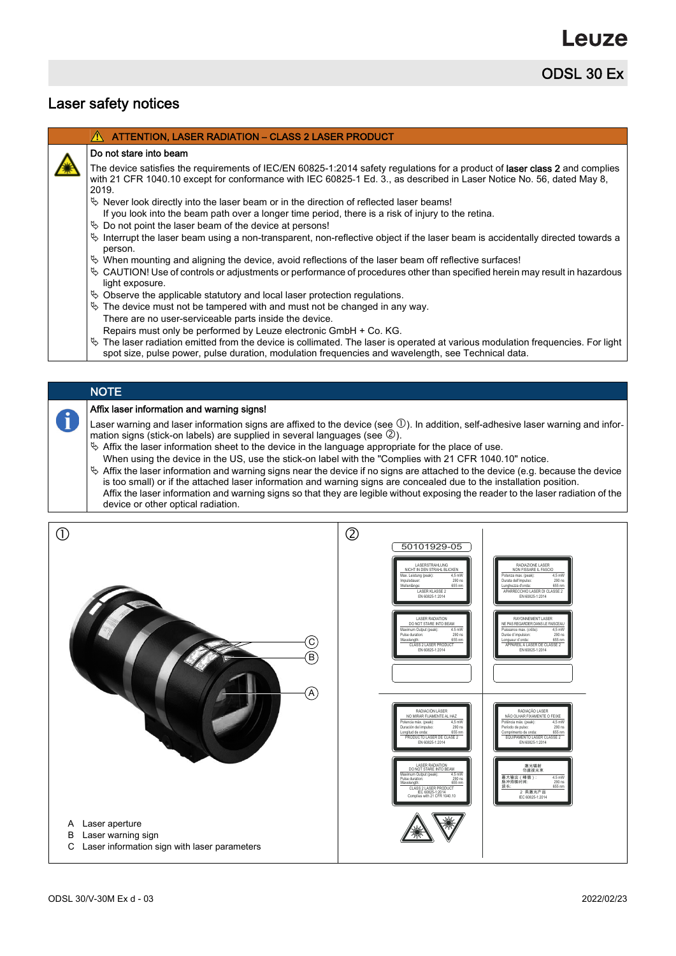ODSL 30 Ex

# Laser safety notices

|  | $\hat{\Lambda}$ ATTENTION, LASER RADIATION – CLASS 2 LASER PRODUCT |  |
|--|--------------------------------------------------------------------|--|
|--|--------------------------------------------------------------------|--|

### Do not stare into beam

The device satisfies the requirements of IEC/EN 60825-1:2014 safety regulations for a product of laser class 2 and complies with 21 CFR 1040.10 except for conformance with IEC 60825-1 Ed. 3., as described in Laser Notice No. 56, dated May 8, 2019.

- $\%$  Never look directly into the laser beam or in the direction of reflected laser beams!
- If you look into the beam path over a longer time period, there is a risk of injury to the retina.
- $\%$  Do not point the laser beam of the device at persons!
- $\%$  Interrupt the laser beam using a non-transparent, non-reflective object if the laser beam is accidentally directed towards a person.
- $\%$  When mounting and aligning the device, avoid reflections of the laser beam off reflective surfaces!
- $\%$  CAUTION! Use of controls or adjustments or performance of procedures other than specified herein may result in hazardous light exposure.
- $\%$  Observe the applicable statutory and local laser protection regulations.
- $\%$  The device must not be tampered with and must not be changed in any way.
- There are no user-serviceable parts inside the device. Repairs must only be performed by Leuze electronic GmbH + Co. KG.
- $\%$  The laser radiation emitted from the device is collimated. The laser is operated at various modulation frequencies. For light spot size, pulse power, pulse duration, modulation frequencies and wavelength, see Technical data.

### **NOTE**

A

### Affix laser information and warning signs!

Laser warning and laser information signs are affixed to the device (see  $\mathbb O$ ). In addition, self-adhesive laser warning and information signs (stick-on labels) are supplied in several languages (see  $\mathcal{D}$ ).

- $\&$  Affix the laser information sheet to the device in the language appropriate for the place of use.
- When using the device in the US, use the stick-on label with the "Complies with 21 CFR 1040.10" notice.  $\%$  Affix the laser information and warning signs near the device if no signs are attached to the device (e.g. because the device is too small) or if the attached laser information and warning signs are concealed due to the installation position. Affix the laser information and warning signs so that they are legible without exposing the reader to the laser radiation of the device or other optical radiation.